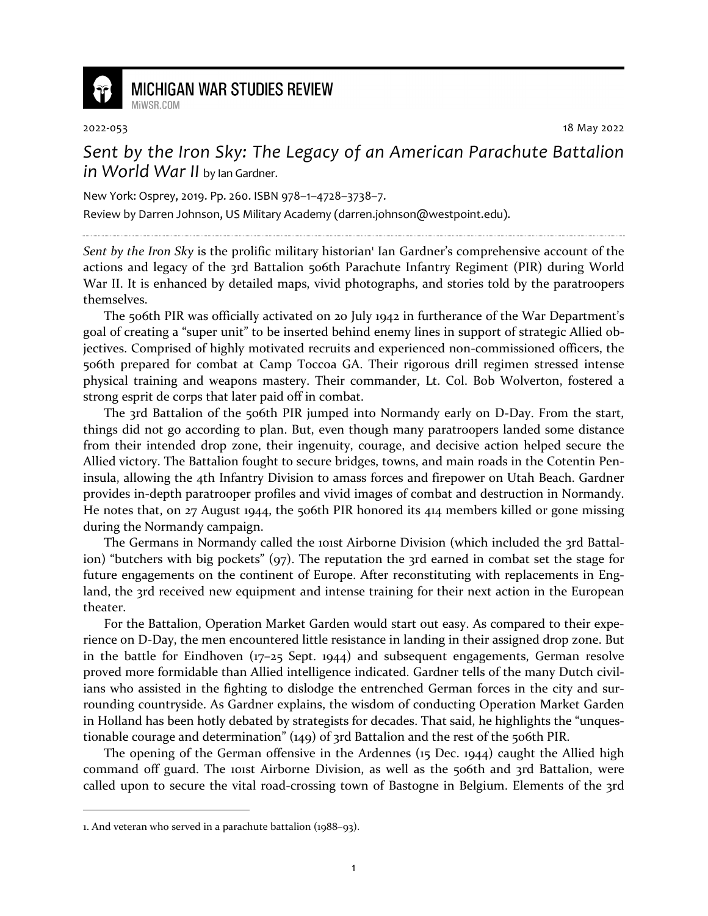

## **MICHIGAN WAR STUDIES REVIEW** MiWSR COM

2022-053 18 May 2022

*Sent by the Iron Sky: The Legacy of an American Parachute Battalion in World War II* by Ian Gardner.

New York: Osprey, 2019. Pp. 260. ISBN 978–1–4728–3738–7.

Review by Darren Johnson, US Military Academy (darren.johnson@westpoint.edu).

Sent by the Iron Sky is the prolific military historian<sup>1</sup> Ian Gardner's comprehensive account of the actions and legacy of the 3rd Battalion 506th Parachute Infantry Regiment (PIR) during World War II. It is enhanced by detailed maps, vivid photographs, and stories told by the paratroopers themselves.

The 506th PIR was officially activated on 20 July 1942 in furtherance of the War Department's goal of creating a "super unit" to be inserted behind enemy lines in support of strategic Allied objectives. Comprised of highly motivated recruits and experienced non-commissioned officers, the 506th prepared for combat at Camp Toccoa GA. Their rigorous drill regimen stressed intense physical training and weapons mastery. Their commander, Lt. Col. Bob Wolverton, fostered a strong esprit de corps that later paid off in combat.

The 3rd Battalion of the 506th PIR jumped into Normandy early on D-Day. From the start, things did not go according to plan. But, even though many paratroopers landed some distance from their intended drop zone, their ingenuity, courage, and decisive action helped secure the Allied victory. The Battalion fought to secure bridges, towns, and main roads in the Cotentin Peninsula, allowing the 4th Infantry Division to amass forces and firepower on Utah Beach. Gardner provides in-depth paratrooper profiles and vivid images of combat and destruction in Normandy. He notes that, on 27 August 1944, the 506th PIR honored its 414 members killed or gone missing during the Normandy campaign.

The Germans in Normandy called the 101st Airborne Division (which included the 3rd Battalion) "butchers with big pockets" (97). The reputation the 3rd earned in combat set the stage for future engagements on the continent of Europe. After reconstituting with replacements in England, the 3rd received new equipment and intense training for their next action in the European theater.

For the Battalion, Operation Market Garden would start out easy. As compared to their experience on D-Day, the men encountered little resistance in landing in their assigned drop zone. But in the battle for Eindhoven  $(17-25$  Sept. 1944) and subsequent engagements, German resolve proved more formidable than Allied intelligence indicated. Gardner tells of the many Dutch civilians who assisted in the fighting to dislodge the entrenched German forces in the city and surrounding countryside. As Gardner explains, the wisdom of conducting Operation Market Garden in Holland has been hotly debated by strategists for decades. That said, he highlights the "unquestionable courage and determination" (149) of 3rd Battalion and the rest of the 506th PIR.

The opening of the German offensive in the Ardennes (15 Dec. 1944) caught the Allied high command off guard. The 101st Airborne Division, as well as the 506th and 3rd Battalion, were called upon to secure the vital road-crossing town of Bastogne in Belgium. Elements of the 3rd

<sup>1.</sup> And veteran who served in a parachute battalion (1988–93).